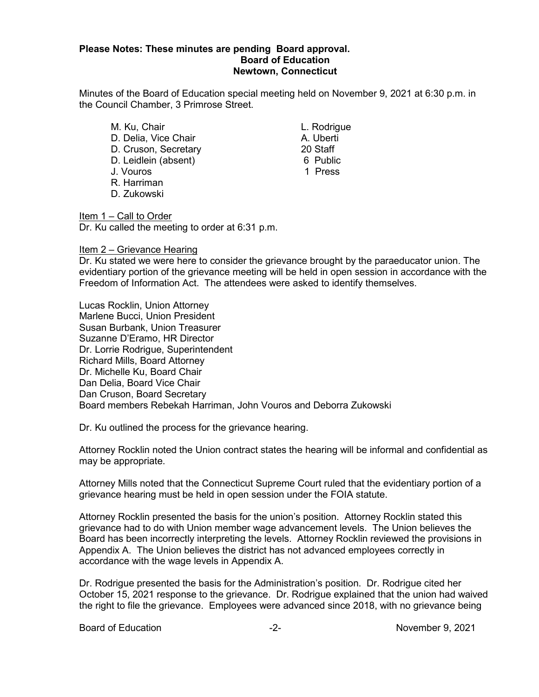## **Please Notes: These minutes are pending Board approval. Board of Education Newtown, Connecticut**

Minutes of the Board of Education special meeting held on November 9, 2021 at 6:30 p.m. in the Council Chamber, 3 Primrose Street.

M. Ku, Chair **L. Rodrigue** D. Delia, Vice Chair **A. Uberti** D. Cruson, Secretary 20 Staff D. Leidlein (absent) 6 Public<br>J. Vouros (1999) 1 Press J. Vouros R. Harriman D. Zukowski

Item 1 – Call to Order Dr. Ku called the meeting to order at 6:31 p.m.

## Item 2 – Grievance Hearing

Dr. Ku stated we were here to consider the grievance brought by the paraeducator union. The evidentiary portion of the grievance meeting will be held in open session in accordance with the Freedom of Information Act. The attendees were asked to identify themselves.

Lucas Rocklin, Union Attorney Marlene Bucci, Union President Susan Burbank, Union Treasurer Suzanne D'Eramo, HR Director Dr. Lorrie Rodrigue, Superintendent Richard Mills, Board Attorney Dr. Michelle Ku, Board Chair Dan Delia, Board Vice Chair Dan Cruson, Board Secretary Board members Rebekah Harriman, John Vouros and Deborra Zukowski

Dr. Ku outlined the process for the grievance hearing.

Attorney Rocklin noted the Union contract states the hearing will be informal and confidential as may be appropriate.

Attorney Mills noted that the Connecticut Supreme Court ruled that the evidentiary portion of a grievance hearing must be held in open session under the FOIA statute.

Attorney Rocklin presented the basis for the union's position. Attorney Rocklin stated this grievance had to do with Union member wage advancement levels. The Union believes the Board has been incorrectly interpreting the levels. Attorney Rocklin reviewed the provisions in Appendix A. The Union believes the district has not advanced employees correctly in accordance with the wage levels in Appendix A.

Dr. Rodrigue presented the basis for the Administration's position. Dr. Rodrigue cited her October 15, 2021 response to the grievance. Dr. Rodrigue explained that the union had waived the right to file the grievance. Employees were advanced since 2018, with no grievance being